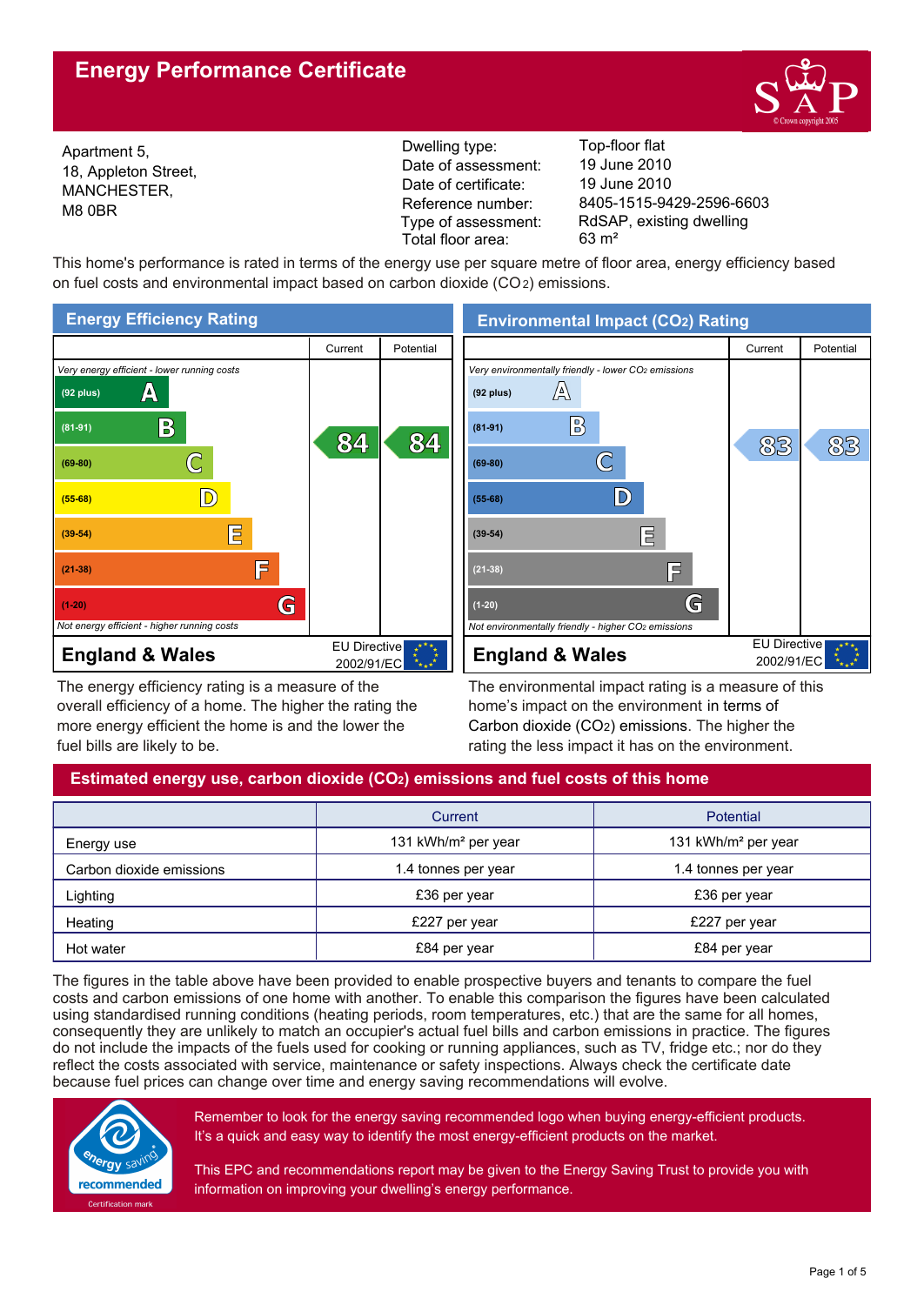# **Energy Performance Certificate**



18, Appleton Street, MANCHESTER, M8 0BR

Reference number: Dwelling type: Top-floor flat Date of certificate: Date of assessment: 19 June 2010 Type of assessment: Total floor area: 63 m²

8405-1515-9429-2596-6603 19 June 2010 Apartment 5, Apartment 5, Apartment 5, Apartment 5, Apartment 2010 Consumer 2010 Apartment 2010 Consumer 2010<br>The Appleton Street Consumer 2010 RdSAP, existing dwelling

This home's performance is rated in terms of the energy use per square metre of floor area, energy efficiency based on fuel costs and environmental impact based on carbon dioxide (CO2) emissions.



The energy efficiency rating is a measure of the overall efficiency of a home. The higher the rating the more energy efficient the home is and the lower the fuel bills are likely to be.

The environmental impact rating is a measure of this home's impact on the environment in terms of Carbon dioxide (CO2) emissions. The higher the rating the less impact it has on the environment.

# **Estimated energy use, carbon dioxide (CO2) emissions and fuel costs of this home**

|                          | Current                         | <b>Potential</b>                |
|--------------------------|---------------------------------|---------------------------------|
| Energy use               | 131 kWh/m <sup>2</sup> per year | 131 kWh/m <sup>2</sup> per year |
| Carbon dioxide emissions | 1.4 tonnes per year             | 1.4 tonnes per year             |
| Lighting                 | £36 per year                    | £36 per year                    |
| Heating                  | £227 per year                   | £227 per year                   |
| Hot water                | £84 per year                    | £84 per year                    |

The figures in the table above have been provided to enable prospective buyers and tenants to compare the fuel costs and carbon emissions of one home with another. To enable this comparison the figures have been calculated using standardised running conditions (heating periods, room temperatures, etc.) that are the same for all homes, consequently they are unlikely to match an occupier's actual fuel bills and carbon emissions in practice. The figures do not include the impacts of the fuels used for cooking or running appliances, such as TV, fridge etc.; nor do they reflect the costs associated with service, maintenance or safety inspections. Always check the certificate date because fuel prices can change over time and energy saving recommendations will evolve.



Remember to look for the energy saving recommended logo when buying energy-efficient products. It's a quick and easy way to identify the most energy-efficient products on the market.

This EPC and recommendations report may be given to the Energy Saving Trust to provide you with information on improving your dwelling's energy performance.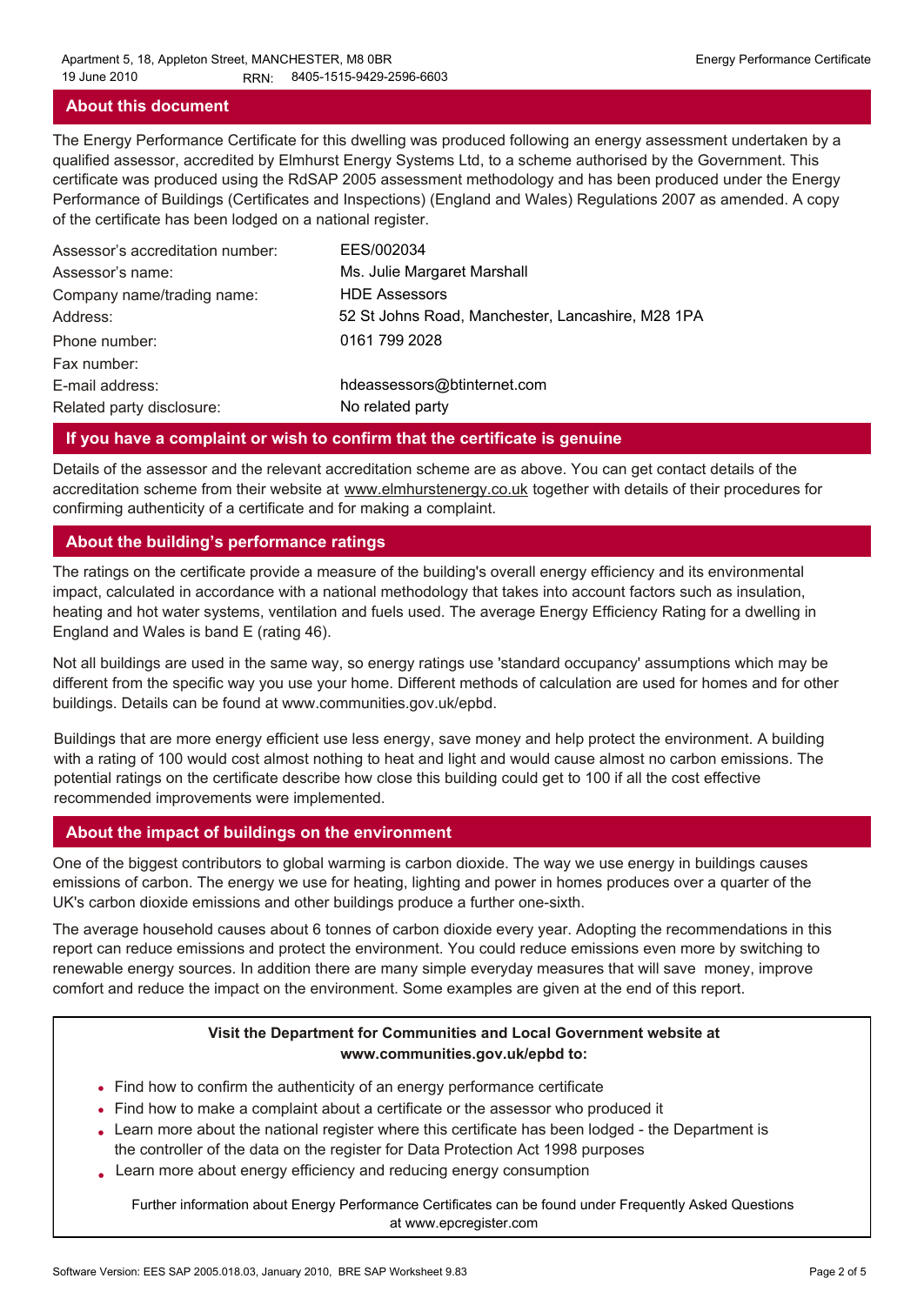### **About this document**

The Energy Performance Certificate for this dwelling was produced following an energy assessment undertaken by a qualified assessor, accredited by Elmhurst Energy Systems Ltd, to a scheme authorised by the Government. This certificate was produced using the RdSAP 2005 assessment methodology and has been produced under the Energy Performance of Buildings (Certificates and Inspections) (England and Wales) Regulations 2007 as amended. A copy of the certificate has been lodged on a national register.

| Assessor's accreditation number: | EES/002034                                        |
|----------------------------------|---------------------------------------------------|
| Assessor's name:                 | Ms. Julie Margaret Marshall                       |
| Company name/trading name:       | <b>HDE Assessors</b>                              |
| Address:                         | 52 St Johns Road, Manchester, Lancashire, M28 1PA |
| Phone number:                    | 0161 799 2028                                     |
| Fax number:                      |                                                   |
| E-mail address:                  | hdeassessors@btinternet.com                       |
| Related party disclosure:        | No related party                                  |

### **If you have a complaint or wish to confirm that the certificate is genuine**

Details of the assessor and the relevant accreditation scheme are as above. You can get contact details of the accreditation scheme from their website at www.elmhurstenergy.co.uk together with details of their procedures for confirming authenticity of a certificate and for making a complaint.

### **About the building's performance ratings**

The ratings on the certificate provide a measure of the building's overall energy efficiency and its environmental impact, calculated in accordance with a national methodology that takes into account factors such as insulation, heating and hot water systems, ventilation and fuels used. The average Energy Efficiency Rating for a dwelling in England and Wales is band E (rating 46).

Not all buildings are used in the same way, so energy ratings use 'standard occupancy' assumptions which may be different from the specific way you use your home. Different methods of calculation are used for homes and for other buildings. Details can be found at www.communities.gov.uk/epbd.

Buildings that are more energy efficient use less energy, save money and help protect the environment. A building with a rating of 100 would cost almost nothing to heat and light and would cause almost no carbon emissions. The potential ratings on the certificate describe how close this building could get to 100 if all the cost effective recommended improvements were implemented.

# **About the impact of buildings on the environment**

One of the biggest contributors to global warming is carbon dioxide. The way we use energy in buildings causes emissions of carbon. The energy we use for heating, lighting and power in homes produces over a quarter of the UK's carbon dioxide emissions and other buildings produce a further one-sixth.

The average household causes about 6 tonnes of carbon dioxide every year. Adopting the recommendations in this report can reduce emissions and protect the environment. You could reduce emissions even more by switching to renewable energy sources. In addition there are many simple everyday measures that will save money, improve comfort and reduce the impact on the environment. Some examples are given at the end of this report.

### **Visit the Department for Communities and Local Government website at www.communities.gov.uk/epbd to:**

- Find how to confirm the authenticity of an energy performance certificate •
- Find how to make a complaint about a certificate or the assessor who produced it •
- Learn more about the national register where this certificate has been lodged the Department is the controller of the data on the register for Data Protection Act 1998 purposes
- Learn more about energy efficiency and reducing energy consumption •

Further information about Energy Performance Certificates can be found under Frequently Asked Questions at www.epcregister.com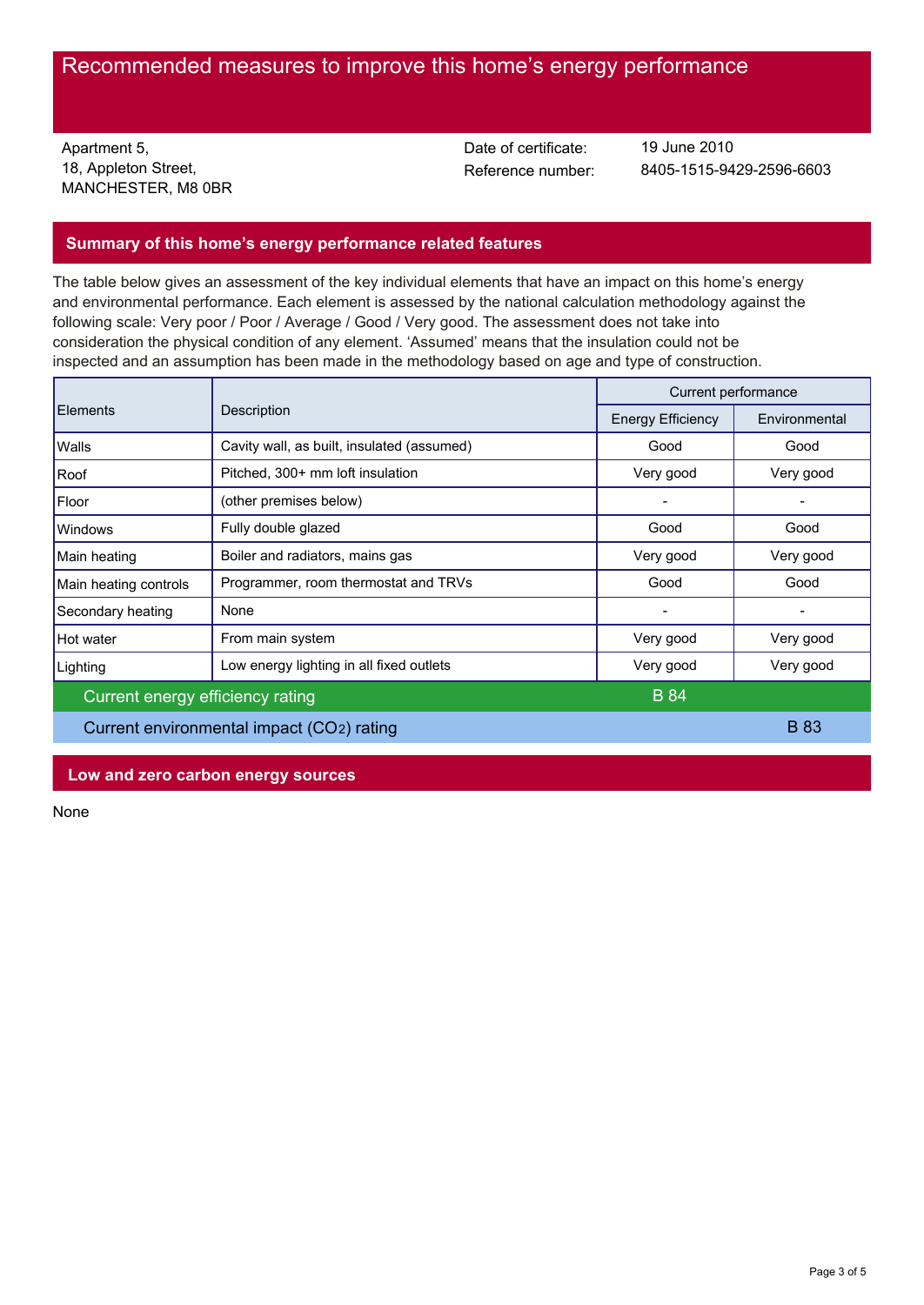# Recommended measures to improve this home's energy performance

Apartment 5, 18, Appleton Street, MANCHESTER, M8 0BR Date of certificate:

Reference number: 8405-1515-9429-2596-6603 19 June 2010

### **Summary of this home's energy performance related features**

The table below gives an assessment of the key individual elements that have an impact on this home's energy and environmental performance. Each element is assessed by the national calculation methodology against the following scale: Very poor / Poor / Average / Good / Very good. The assessment does not take into consideration the physical condition of any element. 'Assumed' means that the insulation could not be inspected and an assumption has been made in the methodology based on age and type of construction.

| <b>Elements</b>                           |                                            | Current performance      |               |
|-------------------------------------------|--------------------------------------------|--------------------------|---------------|
|                                           | Description                                | <b>Energy Efficiency</b> | Environmental |
| Walls                                     | Cavity wall, as built, insulated (assumed) | Good                     | Good          |
| Roof                                      | Pitched, 300+ mm loft insulation           | Very good                | Very good     |
| Floor                                     | (other premises below)                     |                          |               |
| Windows                                   | Fully double glazed                        | Good                     | Good          |
| Main heating                              | Boiler and radiators, mains gas            | Very good                | Very good     |
| Main heating controls                     | Programmer, room thermostat and TRVs       | Good                     | Good          |
| Secondary heating                         | None                                       | -                        |               |
| Hot water                                 | From main system                           | Very good                | Very good     |
| Lighting                                  | Low energy lighting in all fixed outlets   | Very good                | Very good     |
| Current energy efficiency rating          |                                            | <b>B</b> 84              |               |
| Current environmental impact (CO2) rating |                                            |                          | <b>B</b> 83   |

**Low and zero carbon energy sources**

None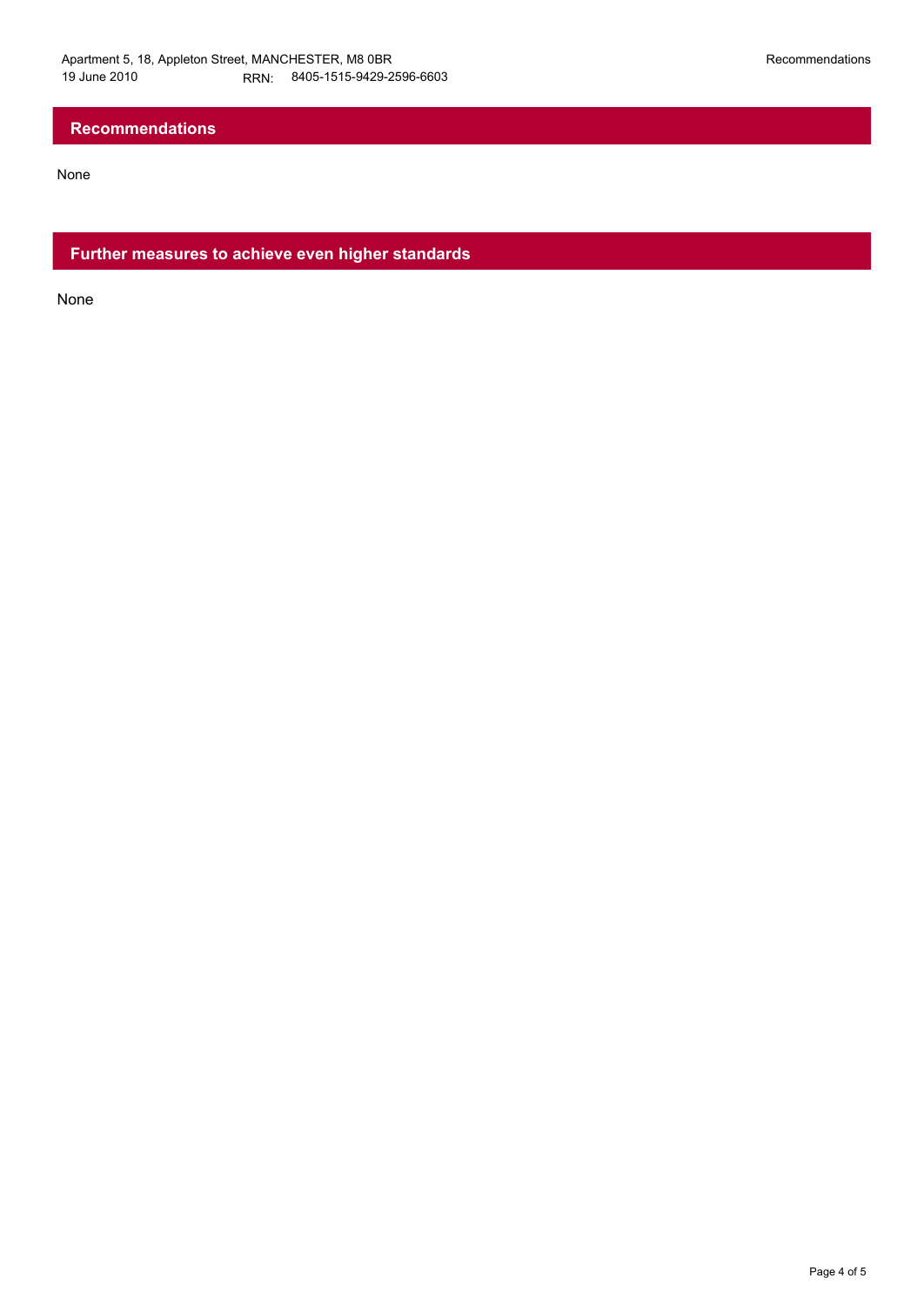# **Recommendations**

None

**Further measures to achieve even higher standards**

None